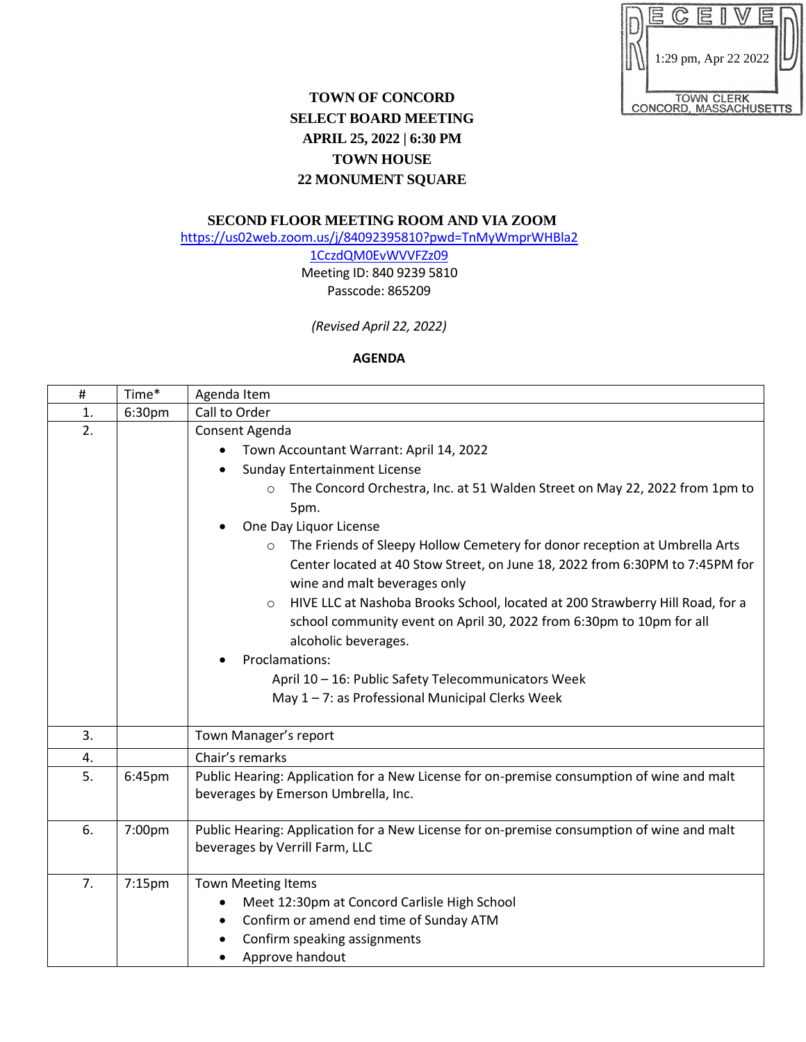|  | Ë                 |                        |  |
|--|-------------------|------------------------|--|
|  |                   |                        |  |
|  |                   | 1:29 pm, Apr 22 2022   |  |
|  | <b>TOWN CLERK</b> |                        |  |
|  |                   | CONCORD, MASSACHUSETTS |  |

## **TOWN OF CONCORD SELECT BOARD MEETING APRIL 25, 2022 | 6:30 PM TOWN HOUSE 22 MONUMENT SQUARE**

## **SECOND FLOOR MEETING ROOM AND VIA ZOOM**

[https://us02web.zoom.us/j/84092395810?pwd=TnMyWmprWHBla2](https://us02web.zoom.us/j/84092395810?pwd=TnMyWmprWHBla21CczdQM0EvWVVFZz09)

[1CczdQM0EvWVVFZz09](https://us02web.zoom.us/j/84092395810?pwd=TnMyWmprWHBla21CczdQM0EvWVVFZz09) Meeting ID: 840 9239 5810 Passcode: 865209

*(Revised April 22, 2022)*

## **AGENDA**

| $\#$ | Time*  | Agenda Item                                                                                                                                                                                                                                                                                                                                                                                                                                                                                                                                                                                                                                                                                                                                       |  |
|------|--------|---------------------------------------------------------------------------------------------------------------------------------------------------------------------------------------------------------------------------------------------------------------------------------------------------------------------------------------------------------------------------------------------------------------------------------------------------------------------------------------------------------------------------------------------------------------------------------------------------------------------------------------------------------------------------------------------------------------------------------------------------|--|
| 1.   | 6:30pm | Call to Order                                                                                                                                                                                                                                                                                                                                                                                                                                                                                                                                                                                                                                                                                                                                     |  |
| 2.   |        | Consent Agenda<br>Town Accountant Warrant: April 14, 2022<br><b>Sunday Entertainment License</b><br>The Concord Orchestra, Inc. at 51 Walden Street on May 22, 2022 from 1pm to<br>$\circ$<br>5pm.<br>One Day Liquor License<br>The Friends of Sleepy Hollow Cemetery for donor reception at Umbrella Arts<br>Center located at 40 Stow Street, on June 18, 2022 from 6:30PM to 7:45PM for<br>wine and malt beverages only<br>HIVE LLC at Nashoba Brooks School, located at 200 Strawberry Hill Road, for a<br>$\circ$<br>school community event on April 30, 2022 from 6:30pm to 10pm for all<br>alcoholic beverages.<br>Proclamations:<br>April 10 - 16: Public Safety Telecommunicators Week<br>May 1-7: as Professional Municipal Clerks Week |  |
| 3.   |        | Town Manager's report                                                                                                                                                                                                                                                                                                                                                                                                                                                                                                                                                                                                                                                                                                                             |  |
| 4.   |        | Chair's remarks                                                                                                                                                                                                                                                                                                                                                                                                                                                                                                                                                                                                                                                                                                                                   |  |
| 5.   | 6:45pm | Public Hearing: Application for a New License for on-premise consumption of wine and malt<br>beverages by Emerson Umbrella, Inc.                                                                                                                                                                                                                                                                                                                                                                                                                                                                                                                                                                                                                  |  |
| 6.   | 7:00pm | Public Hearing: Application for a New License for on-premise consumption of wine and malt<br>beverages by Verrill Farm, LLC                                                                                                                                                                                                                                                                                                                                                                                                                                                                                                                                                                                                                       |  |
| 7.   | 7:15pm | <b>Town Meeting Items</b><br>Meet 12:30pm at Concord Carlisle High School<br>Confirm or amend end time of Sunday ATM<br>Confirm speaking assignments<br>Approve handout                                                                                                                                                                                                                                                                                                                                                                                                                                                                                                                                                                           |  |